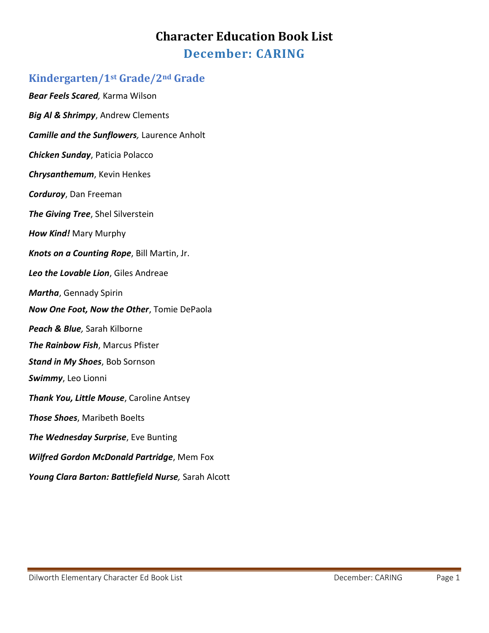## **Character Education Book List December: CARING**

## **Kindergarten/1st Grade/2nd Grade**

*Bear Feels Scared,* Karma Wilson *Big Al & Shrimpy*, Andrew Clements *Camille and the Sunflowers,* Laurence Anholt *Chicken Sunday*, Paticia Polacco *Chrysanthemum*, Kevin Henkes *Corduroy*, Dan Freeman *The Giving Tree*, Shel Silverstein *How Kind!* Mary Murphy *Knots on a Counting Rope*, Bill Martin, Jr. *Leo the Lovable Lion*, Giles Andreae *Martha*, Gennady Spirin *Now One Foot, Now the Other*, Tomie DePaola *Peach & Blue,* Sarah Kilborne *The Rainbow Fish*, Marcus Pfister *Stand in My Shoes*, Bob Sornson *Swimmy*, Leo Lionni *Thank You, Little Mouse*, Caroline Antsey *Those Shoes*, Maribeth Boelts *The Wednesday Surprise*, Eve Bunting *Wilfred Gordon McDonald Partridge*, Mem Fox *Young Clara Barton: Battlefield Nurse,* Sarah Alcott